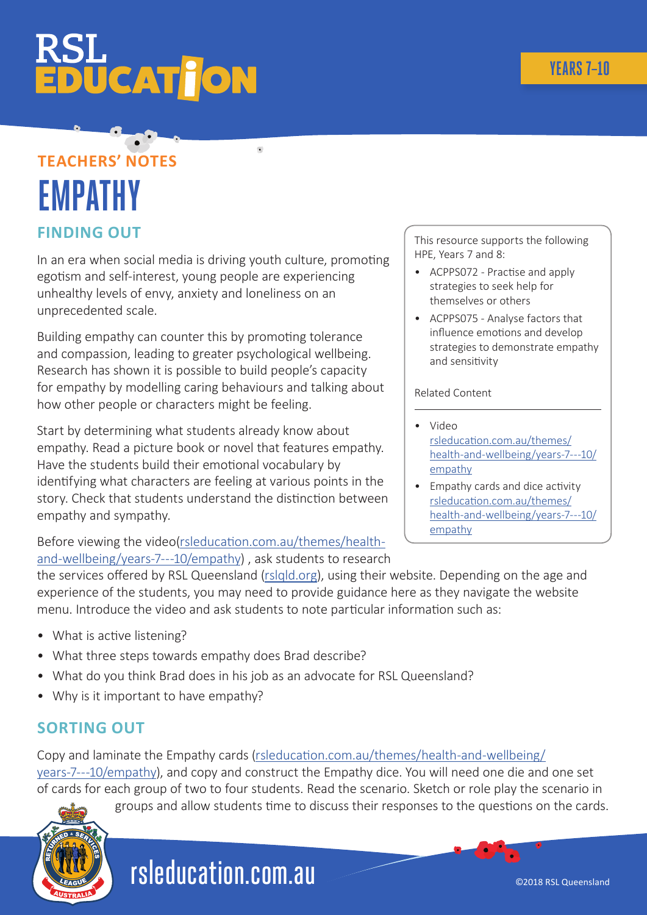# **ÜCAT JON**

### **TEACHERS' NOTES EMPATHY FINDING OUT**

In an era when social media is driving youth culture, promoting egotism and self-interest, young people are experiencing unhealthy levels of envy, anxiety and loneliness on an unprecedented scale.

Building empathy can counter this by promoting tolerance and compassion, leading to greater psychological wellbeing. Research has shown it is possible to build people's capacity for empathy by modelling caring behaviours and talking about how other people or characters might be feeling.

Start by determining what students already know about empathy. Read a picture book or novel that features empathy. Have the students build their emotional vocabulary by identifying what characters are feeling at various points in the story. Check that students understand the distinction between empathy and sympathy.

Before viewing the video[\(rsleducation.com.au/themes/health](http://rsleducation.com.au/themes/health-and-wellbeing/years-7---10/empathy)[and-wellbeing/years-7---10/empathy](http://rsleducation.com.au/themes/health-and-wellbeing/years-7---10/empathy)) , ask students to research This resource supports the following HPE, Years 7 and 8:

- ACPPS072 Practise and apply strategies to seek help for themselves or others
- ACPPS075 Analyse factors that influence emotions and develop strategies to demonstrate empathy and sensitivity

#### Related Content

- Video [rsleducation.com.au/themes/](http://rsleducation.com.au/themes/health-and-wellbeing/years-7---10/empathy ) [health-and-wellbeing/years-7---10/](http://rsleducation.com.au/themes/health-and-wellbeing/years-7---10/empathy ) [empathy](http://rsleducation.com.au/themes/health-and-wellbeing/years-7---10/empathy )
- Empathy cards and dice activity [rsleducation.com.au/themes/](http://rsleducation.com.au/themes/health-and-wellbeing/years-7---10/empathy) [health-and-wellbeing/years-7---10/](http://rsleducation.com.au/themes/health-and-wellbeing/years-7---10/empathy) [empathy](http://rsleducation.com.au/themes/health-and-wellbeing/years-7---10/empathy)

the services offered by RSL Queensland ([rslqld.org\)](http://rslqld.org), using their website. Depending on the age and experience of the students, you may need to provide guidance here as they navigate the website menu. Introduce the video and ask students to note particular information such as:

- What is active listening?
- What three steps towards empathy does Brad describe?
- What do you think Brad does in his job as an advocate for RSL Queensland?
- Why is it important to have empathy?

### **SORTING OUT**

Copy and laminate the Empathy cards [\(rsleducation.com.au/themes/health-and-wellbeing/](http://rsleducation.com.au/themes/health-and-wellbeing/years-7---10/empathy) [years-7---10/empathy](http://rsleducation.com.au/themes/health-and-wellbeing/years-7---10/empathy)), and copy and construct the Empathy dice. You will need one die and one set of cards for each group of two to four students. Read the scenario. Sketch or role play the scenario in

groups and allow students time to discuss their responses to the questions on the cards.